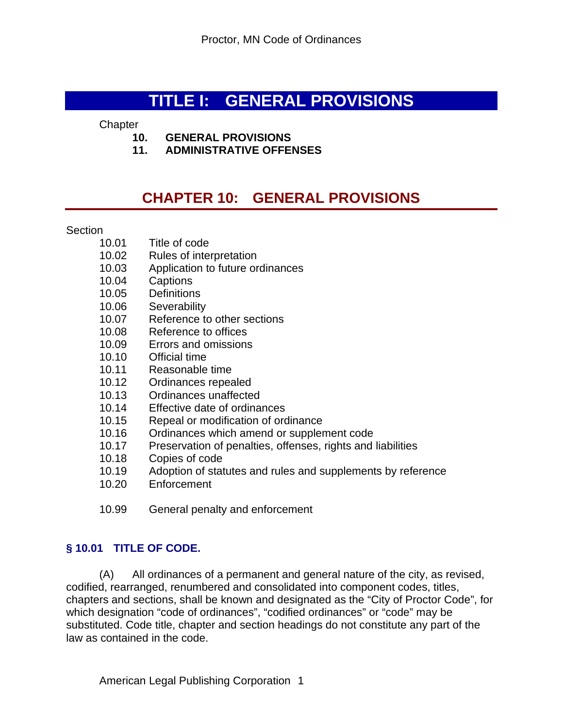# **TITLE I: GENERAL PROVISIONS**

#### **Chapter**

- **10. GENERAL PROVISIONS**
- **11. ADMINISTRATIVE OFFENSES**

# **CHAPTER 10: GENERAL PROVISIONS**

#### **Section**

- 10.01 Title of code
- 10.02 Rules of interpretation
- 10.03 Application to future ordinances
- 10.04 Captions
- 10.05 Definitions
- 10.06 Severability
- 10.07 Reference to other sections
- 10.08 Reference to offices
- 10.09 Errors and omissions
- 10.10 Official time
- 10.11 Reasonable time
- 10.12 Ordinances repealed
- 10.13 Ordinances unaffected
- 10.14 Effective date of ordinances
- 10.15 Repeal or modification of ordinance
- 10.16 Ordinances which amend or supplement code
- 10.17 Preservation of penalties, offenses, rights and liabilities
- 10.18 Copies of code
- 10.19 Adoption of statutes and rules and supplements by reference
- 10.20 Enforcement
- 10.99 General penalty and enforcement

## **§ 10.01 TITLE OF CODE.**

(A) All ordinances of a permanent and general nature of the city, as revised, codified, rearranged, renumbered and consolidated into component codes, titles, chapters and sections, shall be known and designated as the "City of Proctor Code", for which designation "code of ordinances", "codified ordinances" or "code" may be substituted. Code title, chapter and section headings do not constitute any part of the law as contained in the code.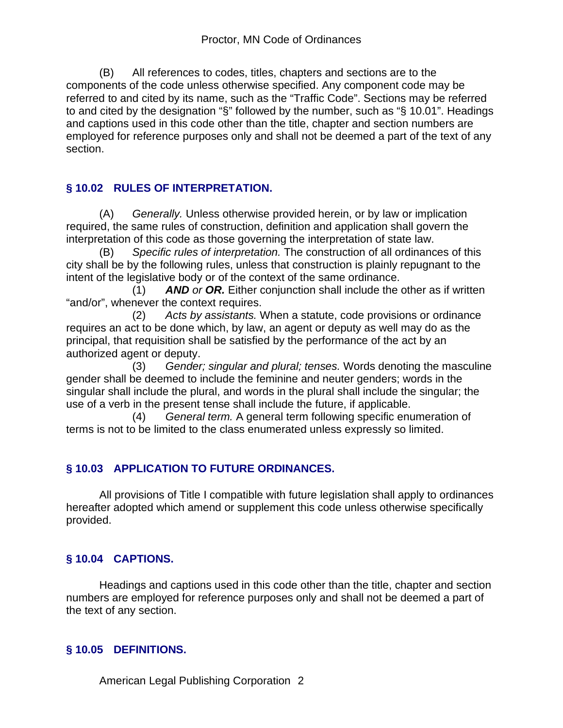(B) All references to codes, titles, chapters and sections are to the components of the code unless otherwise specified. Any component code may be referred to and cited by its name, such as the "Traffic Code". Sections may be referred to and cited by the designation "§" followed by the number, such as "§ 10.01". Headings and captions used in this code other than the title, chapter and section numbers are employed for reference purposes only and shall not be deemed a part of the text of any section.

## **§ 10.02 RULES OF INTERPRETATION.**

(A) *Generally.* Unless otherwise provided herein, or by law or implication required, the same rules of construction, definition and application shall govern the interpretation of this code as those governing the interpretation of state law.

(B) *Specific rules of interpretation.* The construction of all ordinances of this city shall be by the following rules, unless that construction is plainly repugnant to the intent of the legislative body or of the context of the same ordinance.

 (1) *AND or OR.* Either conjunction shall include the other as if written "and/or", whenever the context requires.

 (2) *Acts by assistants.* When a statute, code provisions or ordinance requires an act to be done which, by law, an agent or deputy as well may do as the principal, that requisition shall be satisfied by the performance of the act by an authorized agent or deputy.

 (3) *Gender; singular and plural; tenses.* Words denoting the masculine gender shall be deemed to include the feminine and neuter genders; words in the singular shall include the plural, and words in the plural shall include the singular; the use of a verb in the present tense shall include the future, if applicable.

 (4) *General term.* A general term following specific enumeration of terms is not to be limited to the class enumerated unless expressly so limited.

# **§ 10.03 APPLICATION TO FUTURE ORDINANCES.**

All provisions of Title I compatible with future legislation shall apply to ordinances hereafter adopted which amend or supplement this code unless otherwise specifically provided.

# **§ 10.04 CAPTIONS.**

Headings and captions used in this code other than the title, chapter and section numbers are employed for reference purposes only and shall not be deemed a part of the text of any section.

## **§ 10.05 DEFINITIONS.**

American Legal Publishing Corporation 2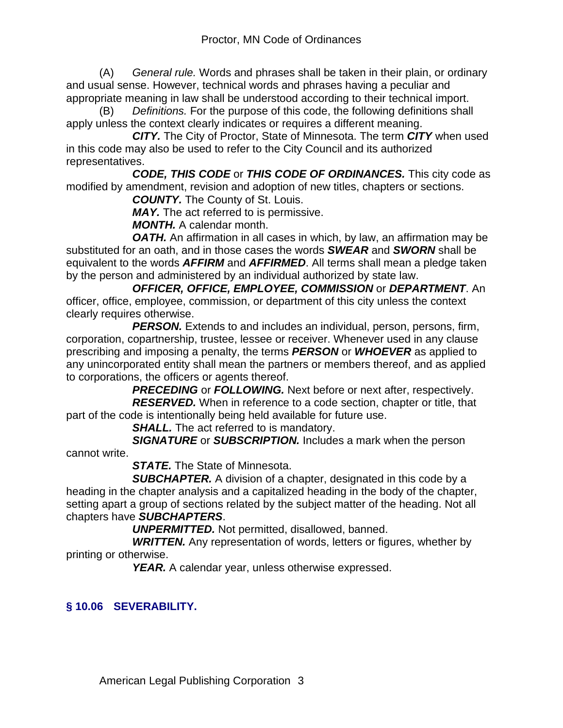(A) *General rule.* Words and phrases shall be taken in their plain, or ordinary and usual sense. However, technical words and phrases having a peculiar and appropriate meaning in law shall be understood according to their technical import.

(B) *Definitions.* For the purpose of this code, the following definitions shall apply unless the context clearly indicates or requires a different meaning.

 *CITY.* The City of Proctor, State of Minnesota. The term *CITY* when used in this code may also be used to refer to the City Council and its authorized representatives.

 *CODE, THIS CODE* or *THIS CODE OF ORDINANCES.* This city code as modified by amendment, revision and adoption of new titles, chapters or sections.

*COUNTY.* The County of St. Louis.

*MAY.* The act referred to is permissive.

*MONTH.* A calendar month.

**OATH.** An affirmation in all cases in which, by law, an affirmation may be substituted for an oath, and in those cases the words *SWEAR* and *SWORN* shall be equivalent to the words *AFFIRM* and *AFFIRMED*. All terms shall mean a pledge taken by the person and administered by an individual authorized by state law.

 *OFFICER, OFFICE, EMPLOYEE, COMMISSION* or *DEPARTMENT*. An officer, office, employee, commission, or department of this city unless the context clearly requires otherwise.

 *PERSON.* Extends to and includes an individual, person, persons, firm, corporation, copartnership, trustee, lessee or receiver. Whenever used in any clause prescribing and imposing a penalty, the terms *PERSON* or *WHOEVER* as applied to any unincorporated entity shall mean the partners or members thereof, and as applied to corporations, the officers or agents thereof.

 *PRECEDING* or *FOLLOWING.* Next before or next after, respectively. *RESERVED.* When in reference to a code section, chapter or title, that part of the code is intentionally being held available for future use.

*SHALL.* The act referred to is mandatory.

 *SIGNATURE* or *SUBSCRIPTION.* Includes a mark when the person cannot write.

*STATE.* The State of Minnesota.

 *SUBCHAPTER.* A division of a chapter, designated in this code by a heading in the chapter analysis and a capitalized heading in the body of the chapter, setting apart a group of sections related by the subject matter of the heading. Not all chapters have *SUBCHAPTERS*.

*UNPERMITTED.* Not permitted, disallowed, banned.

**WRITTEN.** Any representation of words, letters or figures, whether by printing or otherwise.

**YEAR.** A calendar year, unless otherwise expressed.

# **§ 10.06 SEVERABILITY.**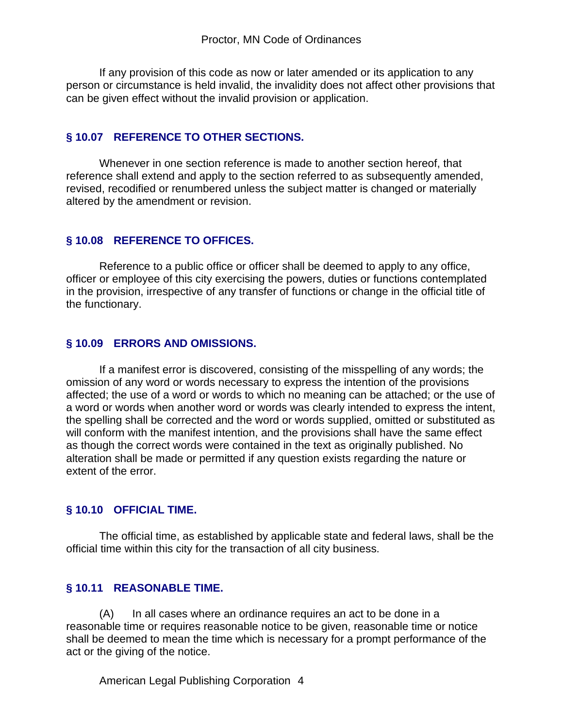If any provision of this code as now or later amended or its application to any person or circumstance is held invalid, the invalidity does not affect other provisions that can be given effect without the invalid provision or application.

#### **§ 10.07 REFERENCE TO OTHER SECTIONS.**

Whenever in one section reference is made to another section hereof, that reference shall extend and apply to the section referred to as subsequently amended, revised, recodified or renumbered unless the subject matter is changed or materially altered by the amendment or revision.

## **§ 10.08 REFERENCE TO OFFICES.**

Reference to a public office or officer shall be deemed to apply to any office, officer or employee of this city exercising the powers, duties or functions contemplated in the provision, irrespective of any transfer of functions or change in the official title of the functionary.

## **§ 10.09 ERRORS AND OMISSIONS.**

If a manifest error is discovered, consisting of the misspelling of any words; the omission of any word or words necessary to express the intention of the provisions affected; the use of a word or words to which no meaning can be attached; or the use of a word or words when another word or words was clearly intended to express the intent, the spelling shall be corrected and the word or words supplied, omitted or substituted as will conform with the manifest intention, and the provisions shall have the same effect as though the correct words were contained in the text as originally published. No alteration shall be made or permitted if any question exists regarding the nature or extent of the error.

## **§ 10.10 OFFICIAL TIME.**

The official time, as established by applicable state and federal laws, shall be the official time within this city for the transaction of all city business.

## **§ 10.11 REASONABLE TIME.**

(A) In all cases where an ordinance requires an act to be done in a reasonable time or requires reasonable notice to be given, reasonable time or notice shall be deemed to mean the time which is necessary for a prompt performance of the act or the giving of the notice.

American Legal Publishing Corporation 4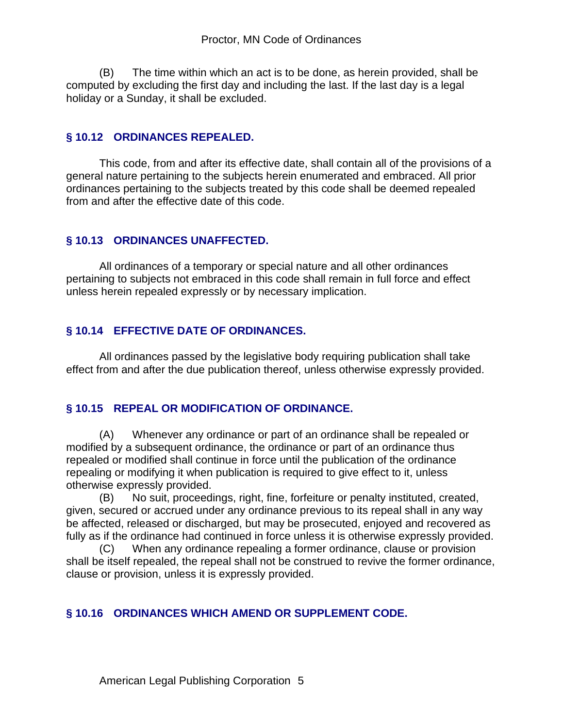(B) The time within which an act is to be done, as herein provided, shall be computed by excluding the first day and including the last. If the last day is a legal holiday or a Sunday, it shall be excluded.

#### **§ 10.12 ORDINANCES REPEALED.**

This code, from and after its effective date, shall contain all of the provisions of a general nature pertaining to the subjects herein enumerated and embraced. All prior ordinances pertaining to the subjects treated by this code shall be deemed repealed from and after the effective date of this code.

## **§ 10.13 ORDINANCES UNAFFECTED.**

All ordinances of a temporary or special nature and all other ordinances pertaining to subjects not embraced in this code shall remain in full force and effect unless herein repealed expressly or by necessary implication.

## **§ 10.14 EFFECTIVE DATE OF ORDINANCES.**

All ordinances passed by the legislative body requiring publication shall take effect from and after the due publication thereof, unless otherwise expressly provided.

## **§ 10.15 REPEAL OR MODIFICATION OF ORDINANCE.**

(A) Whenever any ordinance or part of an ordinance shall be repealed or modified by a subsequent ordinance, the ordinance or part of an ordinance thus repealed or modified shall continue in force until the publication of the ordinance repealing or modifying it when publication is required to give effect to it, unless otherwise expressly provided.

(B) No suit, proceedings, right, fine, forfeiture or penalty instituted, created, given, secured or accrued under any ordinance previous to its repeal shall in any way be affected, released or discharged, but may be prosecuted, enjoyed and recovered as fully as if the ordinance had continued in force unless it is otherwise expressly provided.

(C) When any ordinance repealing a former ordinance, clause or provision shall be itself repealed, the repeal shall not be construed to revive the former ordinance, clause or provision, unless it is expressly provided.

## **§ 10.16 ORDINANCES WHICH AMEND OR SUPPLEMENT CODE.**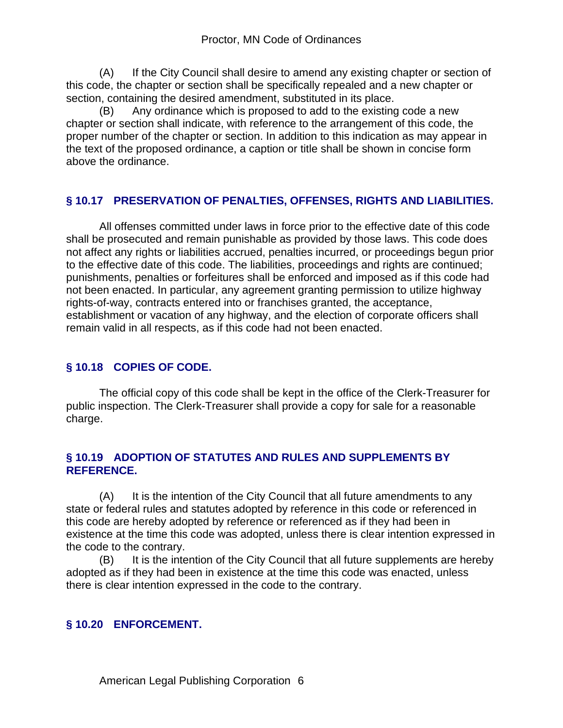(A) If the City Council shall desire to amend any existing chapter or section of this code, the chapter or section shall be specifically repealed and a new chapter or section, containing the desired amendment, substituted in its place.

(B) Any ordinance which is proposed to add to the existing code a new chapter or section shall indicate, with reference to the arrangement of this code, the proper number of the chapter or section. In addition to this indication as may appear in the text of the proposed ordinance, a caption or title shall be shown in concise form above the ordinance.

## **§ 10.17 PRESERVATION OF PENALTIES, OFFENSES, RIGHTS AND LIABILITIES.**

All offenses committed under laws in force prior to the effective date of this code shall be prosecuted and remain punishable as provided by those laws. This code does not affect any rights or liabilities accrued, penalties incurred, or proceedings begun prior to the effective date of this code. The liabilities, proceedings and rights are continued; punishments, penalties or forfeitures shall be enforced and imposed as if this code had not been enacted. In particular, any agreement granting permission to utilize highway rights-of-way, contracts entered into or franchises granted, the acceptance, establishment or vacation of any highway, and the election of corporate officers shall remain valid in all respects, as if this code had not been enacted.

## **§ 10.18 COPIES OF CODE.**

The official copy of this code shall be kept in the office of the Clerk-Treasurer for public inspection. The Clerk-Treasurer shall provide a copy for sale for a reasonable charge.

## **§ 10.19 ADOPTION OF STATUTES AND RULES AND SUPPLEMENTS BY REFERENCE.**

(A) It is the intention of the City Council that all future amendments to any state or federal rules and statutes adopted by reference in this code or referenced in this code are hereby adopted by reference or referenced as if they had been in existence at the time this code was adopted, unless there is clear intention expressed in the code to the contrary.

(B) It is the intention of the City Council that all future supplements are hereby adopted as if they had been in existence at the time this code was enacted, unless there is clear intention expressed in the code to the contrary.

## **§ 10.20 ENFORCEMENT.**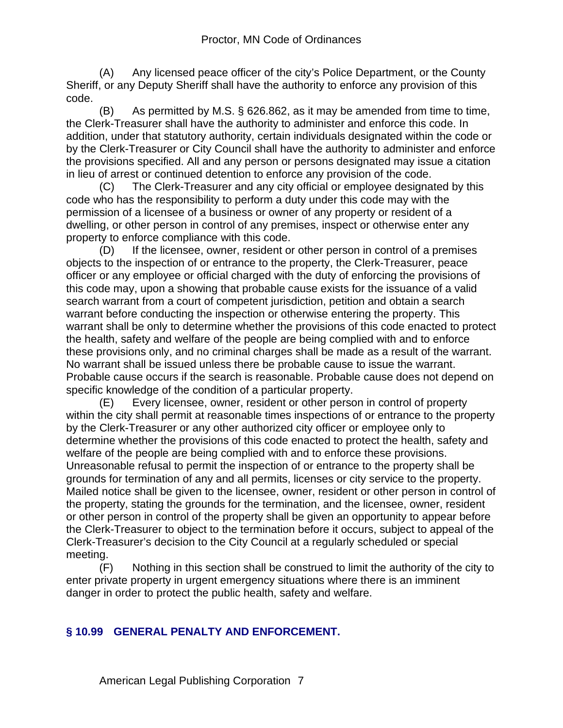(A) Any licensed peace officer of the city's Police Department, or the County Sheriff, or any Deputy Sheriff shall have the authority to enforce any provision of this code.

(B) As permitted by M.S. § 626.862, as it may be amended from time to time, the Clerk-Treasurer shall have the authority to administer and enforce this code. In addition, under that statutory authority, certain individuals designated within the code or by the Clerk-Treasurer or City Council shall have the authority to administer and enforce the provisions specified. All and any person or persons designated may issue a citation in lieu of arrest or continued detention to enforce any provision of the code.

(C) The Clerk-Treasurer and any city official or employee designated by this code who has the responsibility to perform a duty under this code may with the permission of a licensee of a business or owner of any property or resident of a dwelling, or other person in control of any premises, inspect or otherwise enter any property to enforce compliance with this code.

(D) If the licensee, owner, resident or other person in control of a premises objects to the inspection of or entrance to the property, the Clerk-Treasurer, peace officer or any employee or official charged with the duty of enforcing the provisions of this code may, upon a showing that probable cause exists for the issuance of a valid search warrant from a court of competent jurisdiction, petition and obtain a search warrant before conducting the inspection or otherwise entering the property. This warrant shall be only to determine whether the provisions of this code enacted to protect the health, safety and welfare of the people are being complied with and to enforce these provisions only, and no criminal charges shall be made as a result of the warrant. No warrant shall be issued unless there be probable cause to issue the warrant. Probable cause occurs if the search is reasonable. Probable cause does not depend on specific knowledge of the condition of a particular property.

(E) Every licensee, owner, resident or other person in control of property within the city shall permit at reasonable times inspections of or entrance to the property by the Clerk-Treasurer or any other authorized city officer or employee only to determine whether the provisions of this code enacted to protect the health, safety and welfare of the people are being complied with and to enforce these provisions. Unreasonable refusal to permit the inspection of or entrance to the property shall be grounds for termination of any and all permits, licenses or city service to the property. Mailed notice shall be given to the licensee, owner, resident or other person in control of the property, stating the grounds for the termination, and the licensee, owner, resident or other person in control of the property shall be given an opportunity to appear before the Clerk-Treasurer to object to the termination before it occurs, subject to appeal of the Clerk-Treasurer's decision to the City Council at a regularly scheduled or special meeting.

(F) Nothing in this section shall be construed to limit the authority of the city to enter private property in urgent emergency situations where there is an imminent danger in order to protect the public health, safety and welfare.

## **§ 10.99 GENERAL PENALTY AND ENFORCEMENT.**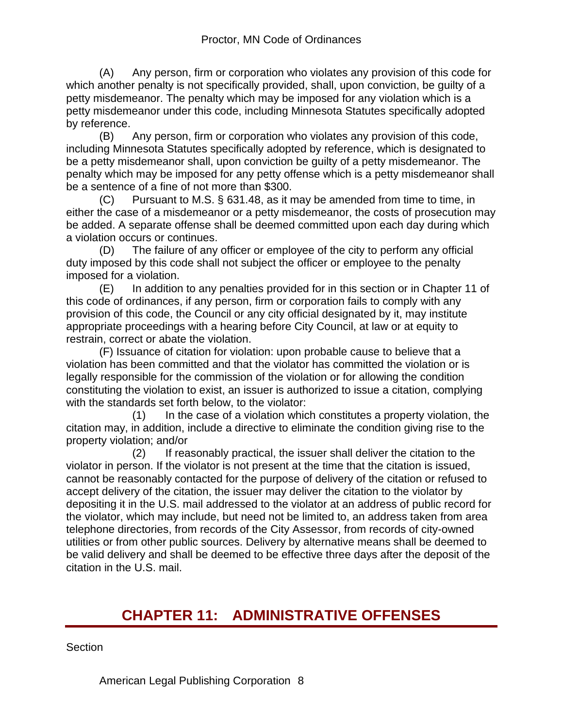(A) Any person, firm or corporation who violates any provision of this code for which another penalty is not specifically provided, shall, upon conviction, be guilty of a petty misdemeanor. The penalty which may be imposed for any violation which is a petty misdemeanor under this code, including Minnesota Statutes specifically adopted by reference.

(B) Any person, firm or corporation who violates any provision of this code, including Minnesota Statutes specifically adopted by reference, which is designated to be a petty misdemeanor shall, upon conviction be guilty of a petty misdemeanor. The penalty which may be imposed for any petty offense which is a petty misdemeanor shall be a sentence of a fine of not more than \$300.

(C) Pursuant to M.S. § 631.48, as it may be amended from time to time, in either the case of a misdemeanor or a petty misdemeanor, the costs of prosecution may be added. A separate offense shall be deemed committed upon each day during which a violation occurs or continues.

(D) The failure of any officer or employee of the city to perform any official duty imposed by this code shall not subject the officer or employee to the penalty imposed for a violation.

(E) In addition to any penalties provided for in this section or in Chapter 11 of this code of ordinances, if any person, firm or corporation fails to comply with any provision of this code, the Council or any city official designated by it, may institute appropriate proceedings with a hearing before City Council, at law or at equity to restrain, correct or abate the violation.

(F) Issuance of citation for violation: upon probable cause to believe that a violation has been committed and that the violator has committed the violation or is legally responsible for the commission of the violation or for allowing the condition constituting the violation to exist, an issuer is authorized to issue a citation, complying with the standards set forth below, to the violator:

 (1) In the case of a violation which constitutes a property violation, the citation may, in addition, include a directive to eliminate the condition giving rise to the property violation; and/or

 (2) If reasonably practical, the issuer shall deliver the citation to the violator in person. If the violator is not present at the time that the citation is issued, cannot be reasonably contacted for the purpose of delivery of the citation or refused to accept delivery of the citation, the issuer may deliver the citation to the violator by depositing it in the U.S. mail addressed to the violator at an address of public record for the violator, which may include, but need not be limited to, an address taken from area telephone directories, from records of the City Assessor, from records of city-owned utilities or from other public sources. Delivery by alternative means shall be deemed to be valid delivery and shall be deemed to be effective three days after the deposit of the citation in the U.S. mail.

# **CHAPTER 11: ADMINISTRATIVE OFFENSES**

**Section** 

American Legal Publishing Corporation 8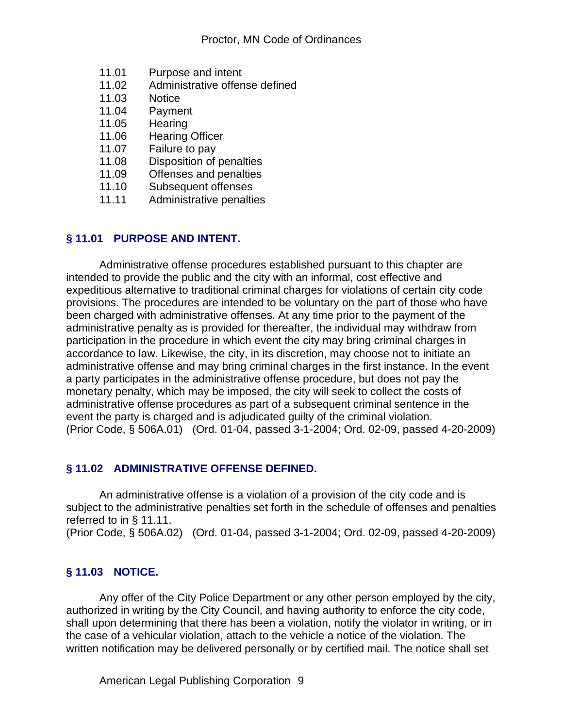- 11.01 Purpose and intent
- 11.02 Administrative offense defined
- 11.03 Notice
- 11.04 Payment<br>11.05 Hearing
- Hearing
- 11.06 Hearing Officer
- 11.07 Failure to pay
- 11.08 Disposition of penalties
- 11.09 Offenses and penalties
- 11.10 Subsequent offenses
- 11.11 Administrative penalties

## **§ 11.01 PURPOSE AND INTENT.**

Administrative offense procedures established pursuant to this chapter are intended to provide the public and the city with an informal, cost effective and expeditious alternative to traditional criminal charges for violations of certain city code provisions. The procedures are intended to be voluntary on the part of those who have been charged with administrative offenses. At any time prior to the payment of the administrative penalty as is provided for thereafter, the individual may withdraw from participation in the procedure in which event the city may bring criminal charges in accordance to law. Likewise, the city, in its discretion, may choose not to initiate an administrative offense and may bring criminal charges in the first instance. In the event a party participates in the administrative offense procedure, but does not pay the monetary penalty, which may be imposed, the city will seek to collect the costs of administrative offense procedures as part of a subsequent criminal sentence in the event the party is charged and is adjudicated guilty of the criminal violation. (Prior Code, § 506A.01) (Ord. 01-04, passed 3-1-2004; Ord. 02-09, passed 4-20-2009)

## **§ 11.02 ADMINISTRATIVE OFFENSE DEFINED.**

An administrative offense is a violation of a provision of the city code and is subject to the administrative penalties set forth in the schedule of offenses and penalties referred to in § 11.11.

(Prior Code, § 506A.02) (Ord. 01-04, passed 3-1-2004; Ord. 02-09, passed 4-20-2009)

## **§ 11.03 NOTICE.**

Any offer of the City Police Department or any other person employed by the city, authorized in writing by the City Council, and having authority to enforce the city code, shall upon determining that there has been a violation, notify the violator in writing, or in the case of a vehicular violation, attach to the vehicle a notice of the violation. The written notification may be delivered personally or by certified mail. The notice shall set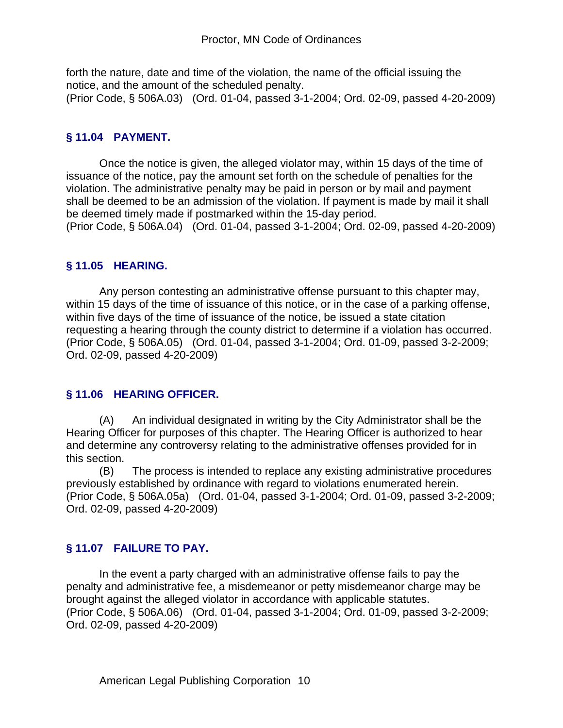forth the nature, date and time of the violation, the name of the official issuing the notice, and the amount of the scheduled penalty. (Prior Code, § 506A.03) (Ord. 01-04, passed 3-1-2004; Ord. 02-09, passed 4-20-2009)

#### **§ 11.04 PAYMENT.**

Once the notice is given, the alleged violator may, within 15 days of the time of issuance of the notice, pay the amount set forth on the schedule of penalties for the violation. The administrative penalty may be paid in person or by mail and payment shall be deemed to be an admission of the violation. If payment is made by mail it shall be deemed timely made if postmarked within the 15-day period. (Prior Code, § 506A.04) (Ord. 01-04, passed 3-1-2004; Ord. 02-09, passed 4-20-2009)

#### **§ 11.05 HEARING.**

Any person contesting an administrative offense pursuant to this chapter may, within 15 days of the time of issuance of this notice, or in the case of a parking offense, within five days of the time of issuance of the notice, be issued a state citation requesting a hearing through the county district to determine if a violation has occurred. (Prior Code, § 506A.05) (Ord. 01-04, passed 3-1-2004; Ord. 01-09, passed 3-2-2009; Ord. 02-09, passed 4-20-2009)

#### **§ 11.06 HEARING OFFICER.**

(A) An individual designated in writing by the City Administrator shall be the Hearing Officer for purposes of this chapter. The Hearing Officer is authorized to hear and determine any controversy relating to the administrative offenses provided for in this section.

(B) The process is intended to replace any existing administrative procedures previously established by ordinance with regard to violations enumerated herein. (Prior Code, § 506A.05a) (Ord. 01-04, passed 3-1-2004; Ord. 01-09, passed 3-2-2009; Ord. 02-09, passed 4-20-2009)

## **§ 11.07 FAILURE TO PAY.**

In the event a party charged with an administrative offense fails to pay the penalty and administrative fee, a misdemeanor or petty misdemeanor charge may be brought against the alleged violator in accordance with applicable statutes. (Prior Code, § 506A.06) (Ord. 01-04, passed 3-1-2004; Ord. 01-09, passed 3-2-2009; Ord. 02-09, passed 4-20-2009)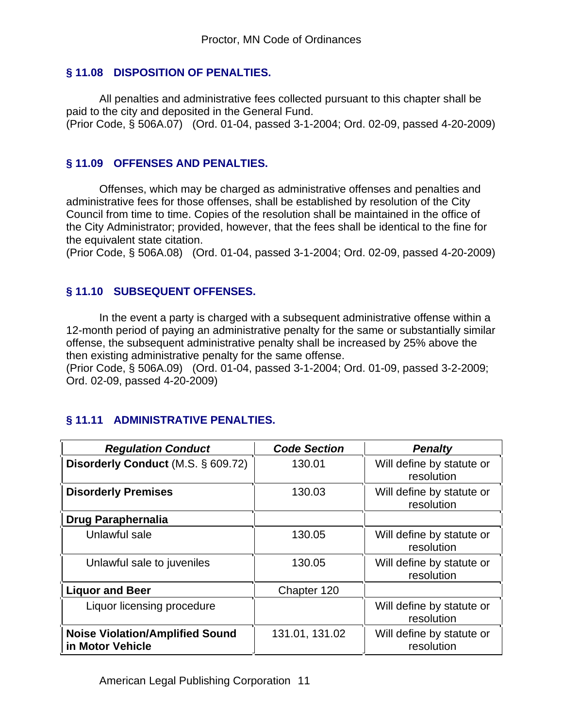## **§ 11.08 DISPOSITION OF PENALTIES.**

All penalties and administrative fees collected pursuant to this chapter shall be paid to the city and deposited in the General Fund. (Prior Code, § 506A.07) (Ord. 01-04, passed 3-1-2004; Ord. 02-09, passed 4-20-2009)

## **§ 11.09 OFFENSES AND PENALTIES.**

Offenses, which may be charged as administrative offenses and penalties and administrative fees for those offenses, shall be established by resolution of the City Council from time to time. Copies of the resolution shall be maintained in the office of the City Administrator; provided, however, that the fees shall be identical to the fine for the equivalent state citation.

(Prior Code, § 506A.08) (Ord. 01-04, passed 3-1-2004; Ord. 02-09, passed 4-20-2009)

## **§ 11.10 SUBSEQUENT OFFENSES.**

In the event a party is charged with a subsequent administrative offense within a 12-month period of paying an administrative penalty for the same or substantially similar offense, the subsequent administrative penalty shall be increased by 25% above the then existing administrative penalty for the same offense.

(Prior Code, § 506A.09) (Ord. 01-04, passed 3-1-2004; Ord. 01-09, passed 3-2-2009; Ord. 02-09, passed 4-20-2009)

## **§ 11.11 ADMINISTRATIVE PENALTIES.**

| <b>Regulation Conduct</b>                                  | <b>Code Section</b> | <b>Penalty</b>                          |
|------------------------------------------------------------|---------------------|-----------------------------------------|
| Disorderly Conduct (M.S. § 609.72)                         | 130.01              | Will define by statute or<br>resolution |
| <b>Disorderly Premises</b>                                 | 130.03              | Will define by statute or<br>resolution |
| <b>Drug Paraphernalia</b>                                  |                     |                                         |
| Unlawful sale                                              | 130.05              | Will define by statute or<br>resolution |
| Unlawful sale to juveniles                                 | 130.05              | Will define by statute or<br>resolution |
| <b>Liquor and Beer</b>                                     | Chapter 120         |                                         |
| Liquor licensing procedure                                 |                     | Will define by statute or<br>resolution |
| <b>Noise Violation/Amplified Sound</b><br>in Motor Vehicle | 131.01, 131.02      | Will define by statute or<br>resolution |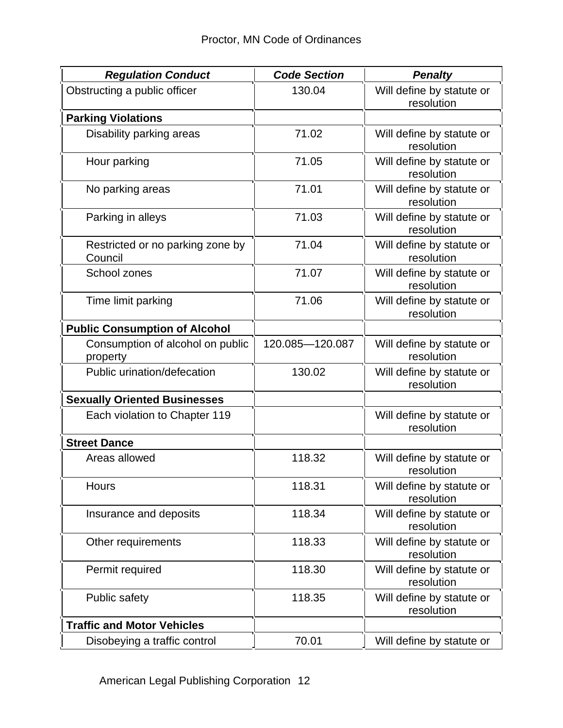| <b>Regulation Conduct</b>                    | <b>Code Section</b> | <b>Penalty</b>                          |
|----------------------------------------------|---------------------|-----------------------------------------|
| Obstructing a public officer                 | 130.04              | Will define by statute or<br>resolution |
| <b>Parking Violations</b>                    |                     |                                         |
| Disability parking areas                     | 71.02               | Will define by statute or<br>resolution |
| Hour parking                                 | 71.05               | Will define by statute or<br>resolution |
| No parking areas                             | 71.01               | Will define by statute or<br>resolution |
| Parking in alleys                            | 71.03               | Will define by statute or<br>resolution |
| Restricted or no parking zone by<br>Council  | 71.04               | Will define by statute or<br>resolution |
| School zones                                 | 71.07               | Will define by statute or<br>resolution |
| Time limit parking                           | 71.06               | Will define by statute or<br>resolution |
| <b>Public Consumption of Alcohol</b>         |                     |                                         |
| Consumption of alcohol on public<br>property | 120.085-120.087     | Will define by statute or<br>resolution |
| Public urination/defecation                  | 130.02              | Will define by statute or<br>resolution |
| <b>Sexually Oriented Businesses</b>          |                     |                                         |
| Each violation to Chapter 119                |                     | Will define by statute or<br>resolution |
| <b>Street Dance</b>                          |                     |                                         |
| Areas allowed                                | 118.32              | Will define by statute or<br>resolution |
| Hours                                        | 118.31              | Will define by statute or<br>resolution |
| Insurance and deposits                       | 118.34              | Will define by statute or<br>resolution |
| Other requirements                           | 118.33              | Will define by statute or<br>resolution |
| Permit required                              | 118.30              | Will define by statute or<br>resolution |
| <b>Public safety</b>                         | 118.35              | Will define by statute or<br>resolution |
| <b>Traffic and Motor Vehicles</b>            |                     |                                         |
| Disobeying a traffic control                 | 70.01               | Will define by statute or               |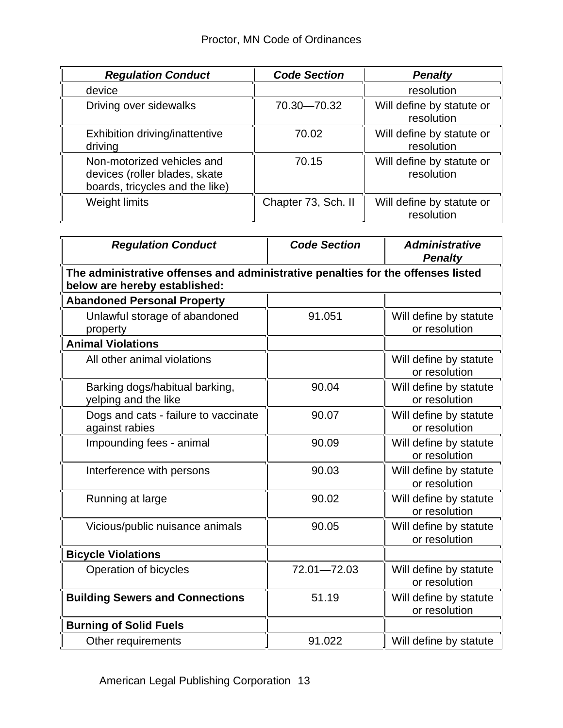| <b>Regulation Conduct</b>                                                                      | <b>Code Section</b> | <b>Penalty</b>                          |  |  |
|------------------------------------------------------------------------------------------------|---------------------|-----------------------------------------|--|--|
| device                                                                                         |                     | resolution                              |  |  |
| Driving over sidewalks                                                                         | 70.30-70.32         | Will define by statute or<br>resolution |  |  |
| Exhibition driving/inattentive<br>driving                                                      | 70.02               | Will define by statute or<br>resolution |  |  |
| Non-motorized vehicles and<br>devices (roller blades, skate<br>boards, tricycles and the like) | 70.15               | Will define by statute or<br>resolution |  |  |
| Weight limits                                                                                  | Chapter 73, Sch. II | Will define by statute or<br>resolution |  |  |

| <b>Regulation Conduct</b>                                                                                         | <b>Code Section</b><br><b>Administrative</b><br><b>Penalty</b> |                                         |  |  |
|-------------------------------------------------------------------------------------------------------------------|----------------------------------------------------------------|-----------------------------------------|--|--|
| The administrative offenses and administrative penalties for the offenses listed<br>below are hereby established: |                                                                |                                         |  |  |
| <b>Abandoned Personal Property</b>                                                                                |                                                                |                                         |  |  |
| Unlawful storage of abandoned<br>property                                                                         | 91.051                                                         | Will define by statute<br>or resolution |  |  |
| <b>Animal Violations</b>                                                                                          |                                                                |                                         |  |  |
| All other animal violations                                                                                       |                                                                | Will define by statute<br>or resolution |  |  |
| Barking dogs/habitual barking,<br>yelping and the like                                                            | 90.04                                                          | Will define by statute<br>or resolution |  |  |
| Dogs and cats - failure to vaccinate<br>against rabies                                                            | 90.07                                                          | Will define by statute<br>or resolution |  |  |
| Impounding fees - animal                                                                                          | 90.09                                                          | Will define by statute<br>or resolution |  |  |
| Interference with persons                                                                                         | 90.03                                                          | Will define by statute<br>or resolution |  |  |
| Running at large                                                                                                  | 90.02                                                          | Will define by statute<br>or resolution |  |  |
| Vicious/public nuisance animals                                                                                   | 90.05                                                          | Will define by statute<br>or resolution |  |  |
| <b>Bicycle Violations</b>                                                                                         |                                                                |                                         |  |  |
| Operation of bicycles                                                                                             | 72.01-72.03                                                    | Will define by statute<br>or resolution |  |  |
| <b>Building Sewers and Connections</b>                                                                            | 51.19                                                          | Will define by statute<br>or resolution |  |  |
| <b>Burning of Solid Fuels</b>                                                                                     |                                                                |                                         |  |  |
| Other requirements                                                                                                | 91.022                                                         | Will define by statute                  |  |  |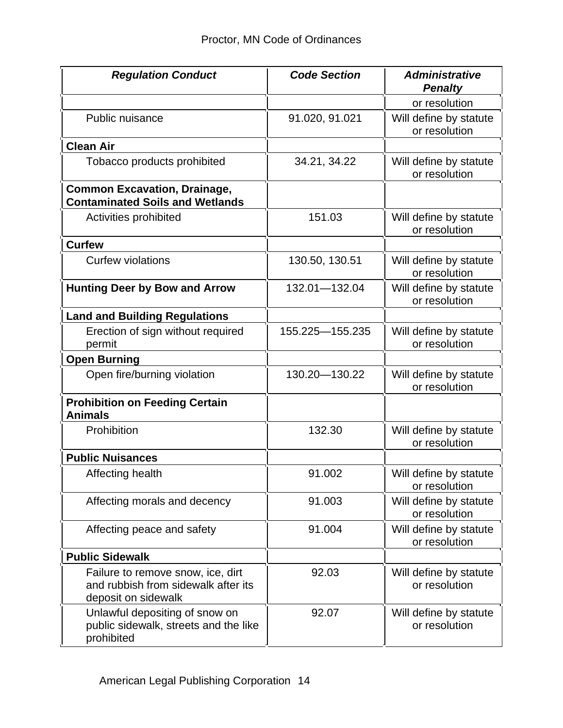| <b>Regulation Conduct</b>                                                                       | <b>Code Section</b> | <b>Administrative</b><br><b>Penalty</b> |  |
|-------------------------------------------------------------------------------------------------|---------------------|-----------------------------------------|--|
|                                                                                                 |                     | or resolution                           |  |
| Public nuisance                                                                                 | 91.020, 91.021      | Will define by statute<br>or resolution |  |
| <b>Clean Air</b>                                                                                |                     |                                         |  |
| Tobacco products prohibited                                                                     | 34.21, 34.22        | Will define by statute<br>or resolution |  |
| <b>Common Excavation, Drainage,</b><br><b>Contaminated Soils and Wetlands</b>                   |                     |                                         |  |
| Activities prohibited                                                                           | 151.03              | Will define by statute<br>or resolution |  |
| <b>Curfew</b>                                                                                   |                     |                                         |  |
| <b>Curfew violations</b>                                                                        | 130.50, 130.51      | Will define by statute<br>or resolution |  |
| <b>Hunting Deer by Bow and Arrow</b>                                                            | 132.01-132.04       | Will define by statute<br>or resolution |  |
| <b>Land and Building Regulations</b>                                                            |                     |                                         |  |
| Erection of sign without required<br>permit                                                     | 155.225-155.235     | Will define by statute<br>or resolution |  |
| <b>Open Burning</b>                                                                             |                     |                                         |  |
| Open fire/burning violation                                                                     | 130.20 - 130.22     | Will define by statute<br>or resolution |  |
| <b>Prohibition on Feeding Certain</b><br><b>Animals</b>                                         |                     |                                         |  |
| Prohibition                                                                                     | 132.30              | Will define by statute<br>or resolution |  |
| <b>Public Nuisances</b>                                                                         |                     |                                         |  |
| Affecting health                                                                                | 91.002              | Will define by statute<br>or resolution |  |
| Affecting morals and decency                                                                    | 91.003              | Will define by statute<br>or resolution |  |
| Affecting peace and safety                                                                      | 91.004              | Will define by statute<br>or resolution |  |
| <b>Public Sidewalk</b>                                                                          |                     |                                         |  |
| Failure to remove snow, ice, dirt<br>and rubbish from sidewalk after its<br>deposit on sidewalk | 92.03               | Will define by statute<br>or resolution |  |
| Unlawful depositing of snow on<br>public sidewalk, streets and the like<br>prohibited           | 92.07               | Will define by statute<br>or resolution |  |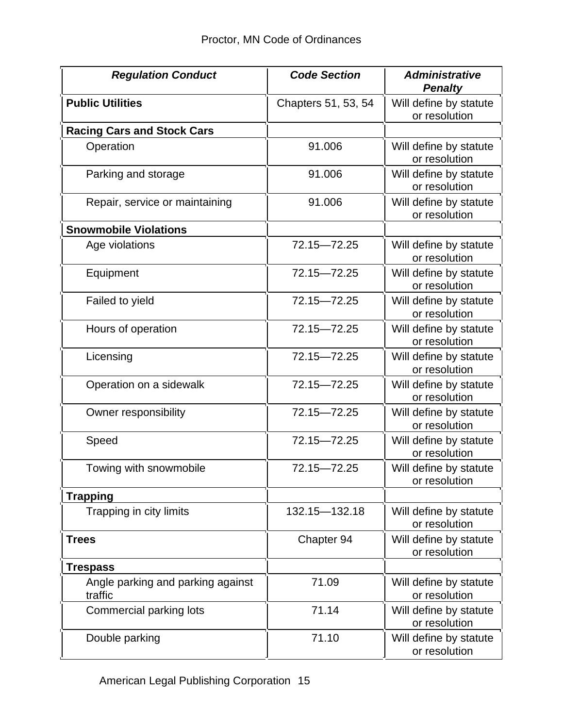| <b>Regulation Conduct</b>                    | <b>Code Section</b> | <b>Administrative</b><br><b>Penalty</b> |  |
|----------------------------------------------|---------------------|-----------------------------------------|--|
| <b>Public Utilities</b>                      | Chapters 51, 53, 54 | Will define by statute<br>or resolution |  |
| <b>Racing Cars and Stock Cars</b>            |                     |                                         |  |
| Operation                                    | 91.006              | Will define by statute<br>or resolution |  |
| Parking and storage                          | 91.006              | Will define by statute<br>or resolution |  |
| Repair, service or maintaining               | 91.006              | Will define by statute<br>or resolution |  |
| <b>Snowmobile Violations</b>                 |                     |                                         |  |
| Age violations                               | 72.15-72.25         | Will define by statute<br>or resolution |  |
| Equipment                                    | 72.15-72.25         | Will define by statute<br>or resolution |  |
| Failed to yield                              | 72.15-72.25         | Will define by statute<br>or resolution |  |
| Hours of operation                           | 72.15-72.25         | Will define by statute<br>or resolution |  |
| Licensing                                    | 72.15-72.25         | Will define by statute<br>or resolution |  |
| Operation on a sidewalk                      | 72.15-72.25         | Will define by statute<br>or resolution |  |
| Owner responsibility                         | 72.15-72.25         | Will define by statute<br>or resolution |  |
| Speed                                        | 72.15-72.25         | Will define by statute<br>or resolution |  |
| Towing with snowmobile                       | 72.15-72.25         | Will define by statute<br>or resolution |  |
| <b>Trapping</b>                              |                     |                                         |  |
| Trapping in city limits                      | 132.15-132.18       | Will define by statute<br>or resolution |  |
| <b>Trees</b>                                 | Chapter 94          | Will define by statute<br>or resolution |  |
| <b>Trespass</b>                              |                     |                                         |  |
| Angle parking and parking against<br>traffic | 71.09               | Will define by statute<br>or resolution |  |
| Commercial parking lots                      | 71.14               | Will define by statute<br>or resolution |  |
| Double parking                               | 71.10               | Will define by statute<br>or resolution |  |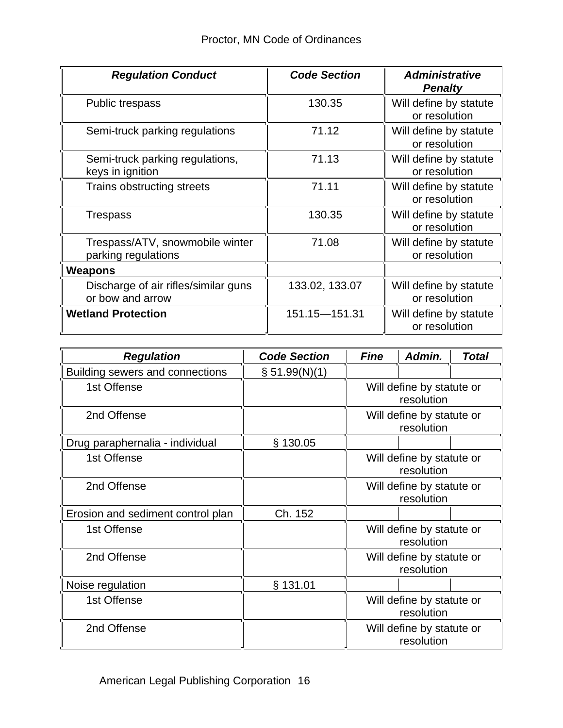| <b>Regulation Conduct</b>                                | <b>Code Section</b> | <b>Administrative</b><br><b>Penalty</b> |  |  |
|----------------------------------------------------------|---------------------|-----------------------------------------|--|--|
| Public trespass                                          | 130.35              | Will define by statute<br>or resolution |  |  |
| Semi-truck parking regulations                           | 71.12               | Will define by statute<br>or resolution |  |  |
| Semi-truck parking regulations,<br>keys in ignition      | 71.13               | Will define by statute<br>or resolution |  |  |
| Trains obstructing streets                               | 71.11               | Will define by statute<br>or resolution |  |  |
| Trespass                                                 | 130.35              | Will define by statute<br>or resolution |  |  |
| Trespass/ATV, snowmobile winter<br>parking regulations   | 71.08               | Will define by statute<br>or resolution |  |  |
| <b>Weapons</b>                                           |                     |                                         |  |  |
| Discharge of air rifles/similar guns<br>or bow and arrow | 133.02, 133.07      | Will define by statute<br>or resolution |  |  |
| <b>Wetland Protection</b>                                | 151.15-151.31       | Will define by statute<br>or resolution |  |  |

| <b>Regulation</b>                 | <b>Code Section</b> | <b>Fine</b>                             | Admin. | Total |  |
|-----------------------------------|---------------------|-----------------------------------------|--------|-------|--|
| Building sewers and connections   | $\S 51.99(N)(1)$    |                                         |        |       |  |
| 1st Offense                       |                     | Will define by statute or<br>resolution |        |       |  |
| 2nd Offense                       |                     | Will define by statute or<br>resolution |        |       |  |
| Drug paraphernalia - individual   | § 130.05            |                                         |        |       |  |
| 1st Offense                       |                     | Will define by statute or<br>resolution |        |       |  |
| 2nd Offense                       |                     | Will define by statute or<br>resolution |        |       |  |
| Erosion and sediment control plan | Ch. 152             |                                         |        |       |  |
| 1st Offense                       |                     | Will define by statute or<br>resolution |        |       |  |
| 2nd Offense                       |                     | Will define by statute or<br>resolution |        |       |  |
| Noise regulation                  | § 131.01            |                                         |        |       |  |
| 1st Offense                       |                     | Will define by statute or<br>resolution |        |       |  |
| 2nd Offense                       |                     | Will define by statute or<br>resolution |        |       |  |